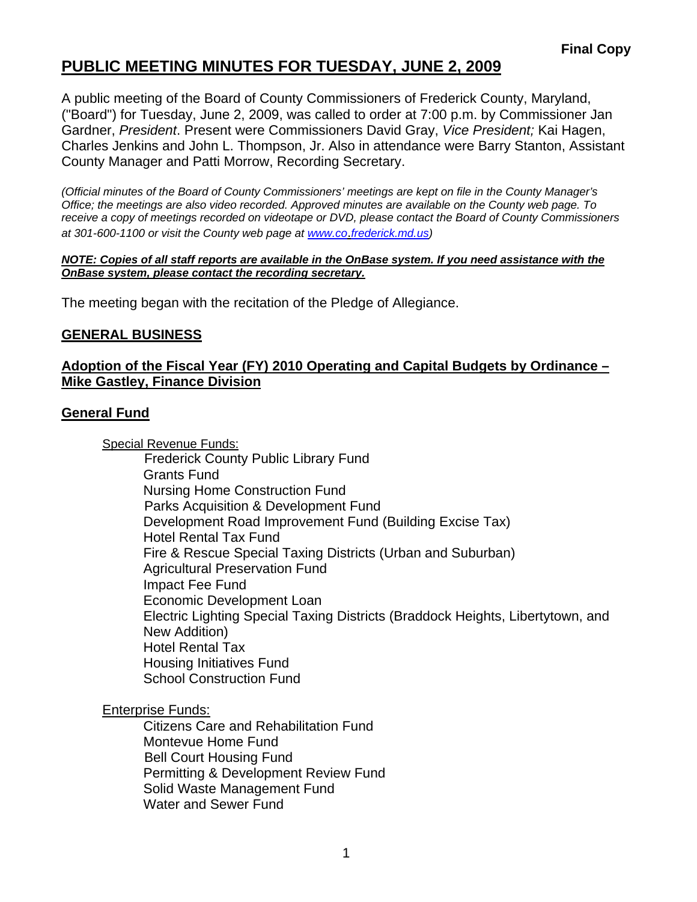# **PUBLIC MEETING MINUTES FOR TUESDAY, JUNE 2, 2009**

A public meeting of the Board of County Commissioners of Frederick County, Maryland, ("Board") for Tuesday, June 2, 2009, was called to order at 7:00 p.m. by Commissioner Jan Gardner, *President*. Present were Commissioners David Gray, *Vice President;* Kai Hagen, Charles Jenkins and John L. Thompson, Jr. Also in attendance were Barry Stanton, Assistant County Manager and Patti Morrow, Recording Secretary.

*(Official minutes of the Board of County Commissioners' meetings are kept on file in the County Manager's Office; the meetings are also video recorded. Approved minutes are available on the County web page. To receive a copy of meetings recorded on videotape or DVD, please contact the Board of County Commissioners at 301-600-1100 or visit the County web page at [www.co](http://www.co/)*.*frederick.md.us)* 

#### *NOTE: Copies of all staff reports are available in the OnBase system. If you need assistance with the OnBase system, please contact the recording secretary.*

The meeting began with the recitation of the Pledge of Allegiance.

#### **GENERAL BUSINESS**

#### **Adoption of the Fiscal Year (FY) 2010 Operating and Capital Budgets by Ordinance – Mike Gastley, Finance Division**

#### **General Fund**

Special Revenue Funds: Frederick County Public Library Fund Grants Fund Nursing Home Construction Fund Parks Acquisition & Development Fund Development Road Improvement Fund (Building Excise Tax) Hotel Rental Tax Fund Fire & Rescue Special Taxing Districts (Urban and Suburban) Agricultural Preservation Fund Impact Fee Fund Economic Development Loan Electric Lighting Special Taxing Districts (Braddock Heights, Libertytown, and New Addition) Hotel Rental Tax Housing Initiatives Fund School Construction Fund

Enterprise Funds:

 Citizens Care and Rehabilitation Fund Montevue Home Fund Bell Court Housing Fund Permitting & Development Review Fund Solid Waste Management Fund Water and Sewer Fund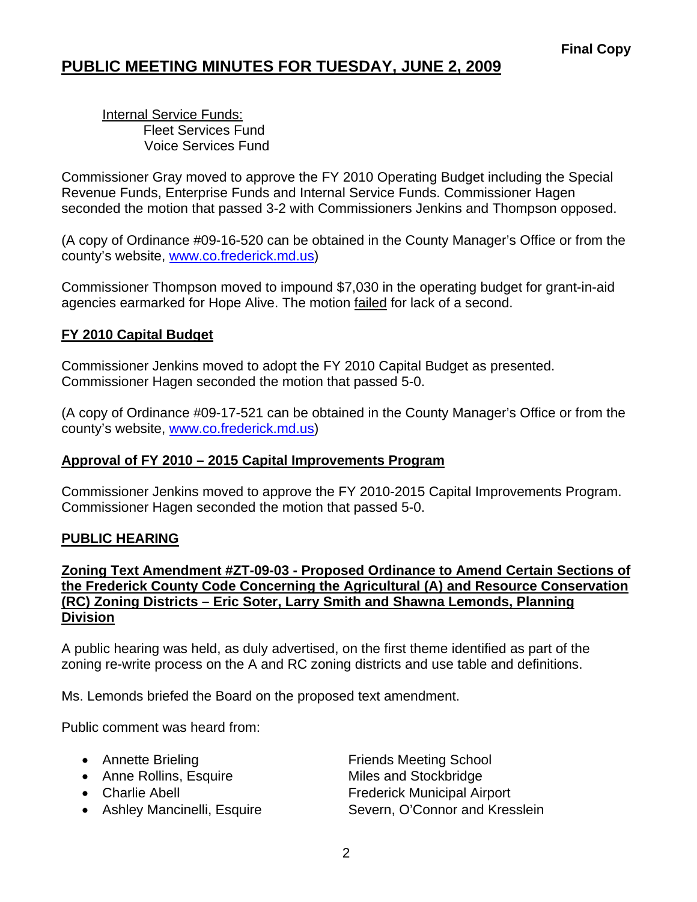# **PUBLIC MEETING MINUTES FOR TUESDAY, JUNE 2, 2009**

 Internal Service Funds: Fleet Services Fund Voice Services Fund

Commissioner Gray moved to approve the FY 2010 Operating Budget including the Special Revenue Funds, Enterprise Funds and Internal Service Funds. Commissioner Hagen seconded the motion that passed 3-2 with Commissioners Jenkins and Thompson opposed.

(A copy of Ordinance #09-16-520 can be obtained in the County Manager's Office or from the county's website, <www.co.frederick.md.us>)

Commissioner Thompson moved to impound \$7,030 in the operating budget for grant-in-aid agencies earmarked for Hope Alive. The motion failed for lack of a second.

### **FY 2010 Capital Budget**

Commissioner Jenkins moved to adopt the FY 2010 Capital Budget as presented. Commissioner Hagen seconded the motion that passed 5-0.

(A copy of Ordinance #09-17-521 can be obtained in the County Manager's Office or from the county's website, <www.co.frederick.md.us>)

#### **Approval of FY 2010 – 2015 Capital Improvements Program**

Commissioner Jenkins moved to approve the FY 2010-2015 Capital Improvements Program. Commissioner Hagen seconded the motion that passed 5-0.

#### **PUBLIC HEARING**

#### **Zoning Text Amendment #ZT-09-03 - Proposed Ordinance to Amend Certain Sections of the Frederick County Code Concerning the Agricultural (A) and Resource Conservation (RC) Zoning Districts – Eric Soter, Larry Smith and Shawna Lemonds, Planning Division**

A public hearing was held, as duly advertised, on the first theme identified as part of the zoning re-write process on the A and RC zoning districts and use table and definitions.

Ms. Lemonds briefed the Board on the proposed text amendment.

Public comment was heard from:

- 
- Anne Rollins, Esquire Miles and Stockbridge
- 
- 
- Annette Brieling **Friends Meeting School** • Charlie Abell **Frederick Municipal Airport** • Ashley Mancinelli, Esquire Severn, O'Connor and Kresslein